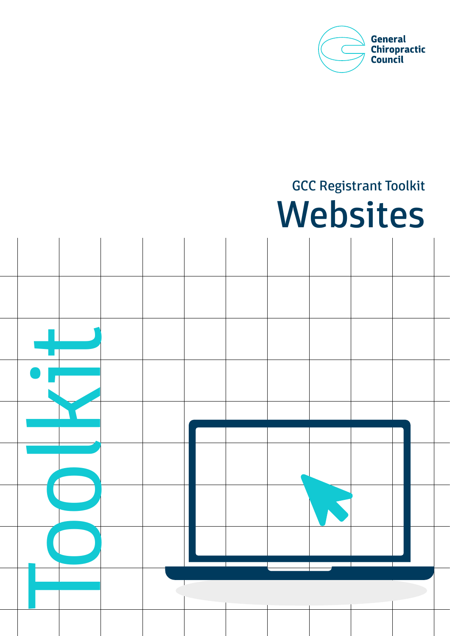

# GCC Registrant Toolkit Websites

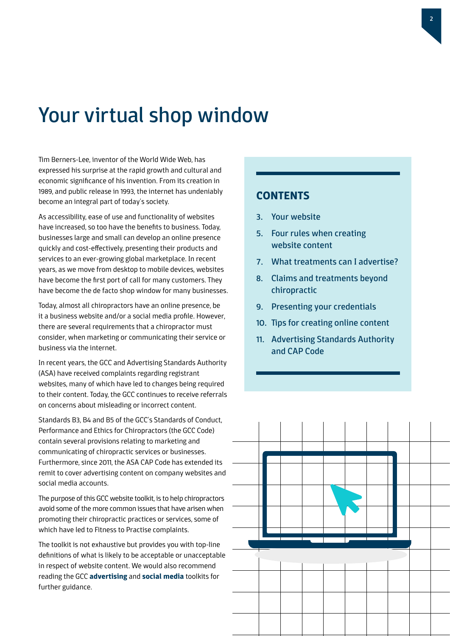### Your virtual shop window

Tim Berners-Lee, inventor of the World Wide Web, has expressed his surprise at the rapid growth and cultural and economic significance of his invention. From its creation in 1989, and public release in 1993, the internet has undeniably become an integral part of today's society.

As accessibility, ease of use and functionality of websites have increased, so too have the benefits to business. Today, businesses large and small can develop an online presence quickly and cost-effectively, presenting their products and services to an ever-growing global marketplace. In recent years, as we move from desktop to mobile devices, websites have become the first port of call for many customers. They have become the de facto shop window for many businesses.

Today, almost all chiropractors have an online presence, be it a business website and/or a social media profile. However, there are several requirements that a chiropractor must consider, when marketing or communicating their service or business via the internet.

In recent years, the GCC and Advertising Standards Authority (ASA) have received complaints regarding registrant websites, many of which have led to changes being required to their content. Today, the GCC continues to receive referrals on concerns about misleading or incorrect content.

Standards B3, B4 and B5 of the GCC's Standards of Conduct, Performance and Ethics for Chiropractors (the GCC Code) contain several provisions relating to marketing and communicating of chiropractic services or businesses. Furthermore, since 2011, the ASA CAP Code has extended its remit to cover advertising content on company websites and social media accounts.

The purpose of this GCC website toolkit, is to help chiropractors avoid some of the more common issues that have arisen when promoting their chiropractic practices or services, some of which have led to Fitness to Practise complaints.

The toolkit is not exhaustive but provides you with top-line definitions of what is likely to be acceptable or unacceptable in respect of website content. We would also recommend reading the GCC **[advertising](http://www.gcc-uk.org/toolkit-advertising)** and **[social media](http://www.gcc-uk.org/toolkit-social-media)** toolkits for further guidance.

### **CONTENTS**

- 3. Your website
- 5. Four rules when creating website content
- 7. What treatments can I advertise?
- 8. Claims and treatments beyond chiropractic
- 9. Presenting your credentials
- 10. Tips for creating online content
- 11. Advertising Standards Authority and CAP Code

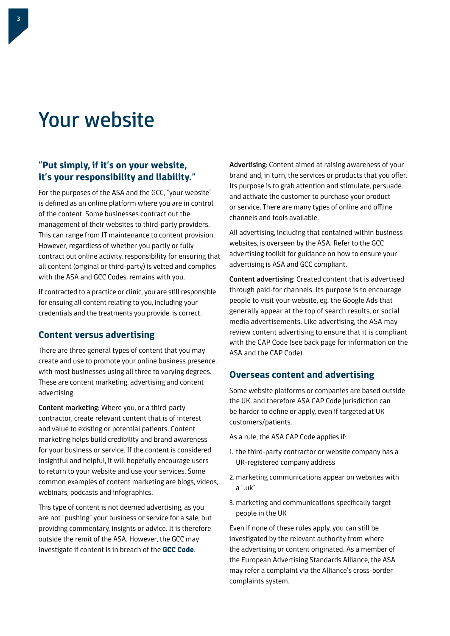### Your website

### **"Put simply, if it's on your website, it's your responsibility and liability."**

For the purposes of the ASA and the GCC, "your website" is defined as an online platform where you are in control of the content. Some businesses contract out the management of their websites to third-party providers. This can range from IT maintenance to content provision. However, regardless of whether you partly or fully contract out online activity, responsibility for ensuring that all content (original or third-party) is vetted and complies with the ASA and GCC Codes, remains with you.

If contracted to a practice or clinic, you are still responsible for ensuing all content relating to you, including your credentials and the treatments you provide, is correct.

### **Content versus advertising**

There are three general types of content that you may create and use to promote your online business presence, with most businesses using all three to varying degrees. These are content marketing, advertising and content advertising.

Content marketing: Where you, or a third-party contractor, create relevant content that is of interest and value to existing or potential patients. Content marketing helps build credibility and brand awareness for your business or service. If the content is considered insightful and helpful, it will hopefully encourage users to return to your website and use your services. Some common examples of content marketing are blogs, videos, webinars, podcasts and infographics.

This type of content is not deemed advertising, as you are not "pushing" your business or service for a sale, but providing commentary, insights or advice. It is therefore outside the remit of the ASA. However, the GCC may investigate if content is in breach of the **[GCC Code](http://www.gcc-uk.org/the-code)**.

Advertising: Content aimed at raising awareness of your brand and, in turn, the services or products that you offer. Its purpose is to grab attention and stimulate, persuade and activate the customer to purchase your product or service. There are many types of online and offline channels and tools available.

All advertising, including that contained within business websites, is overseen by the ASA. Refer to the GCC advertising toolkit for guidance on how to ensure your advertising is ASA and GCC compliant.

Content advertising: Created content that is advertised through paid-for channels. Its purpose is to encourage people to visit your website, eg. the Google Ads that generally appear at the top of search results, or social media advertisements. Like advertising, the ASA may review content advertising to ensure that it is compliant with the CAP Code (see back page for information on the ASA and the CAP Code).

### **Overseas content and advertising**

Some website platforms or companies are based outside the UK, and therefore ASA CAP Code jurisdiction can be harder to define or apply, even if targeted at UK customers/patients.

As a rule, the ASA CAP Code applies if:

- 1. the third-party contractor or website company has a UK-registered company address
- 2. marketing communications appear on websites with a ".uk"
- 3. marketing and communications specifically target people in the UK

Even if none of these rules apply, you can still be investigated by the relevant authority from where the advertising or content originated. As a member of the European Advertising Standards Alliance, the ASA may refer a complaint via the Alliance's cross-border complaints system.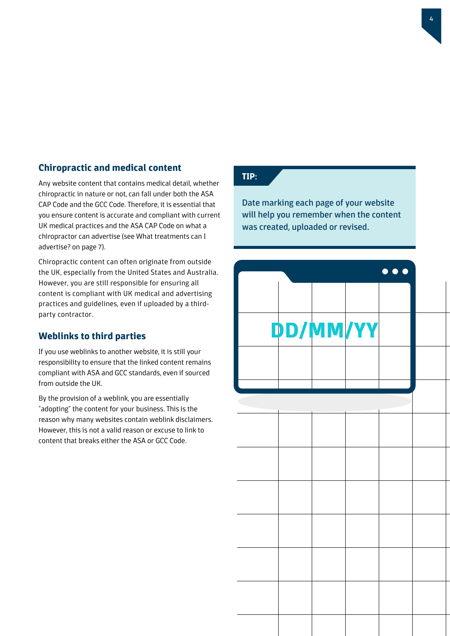### **Chiropractic and medical content**

Any website content that contains medical detail, whether chiropractic in nature or not, can fall under both the ASA CAP Code and the GCC Code. Therefore, it is essential that you ensure content is accurate and compliant with current UK medical practices and the ASA CAP Code on what a chiropractor can advertise (see What treatments can I advertise? on page 7).

Chiropractic content can often originate from outside the UK, especially from the United States and Australia. However, you are still responsible for ensuring all content is compliant with UK medical and advertising practices and guidelines, even if uploaded by a thirdparty contractor.

### **Weblinks to third parties**

If you use weblinks to another website, it is still your responsibility to ensure that the linked content remains compliant with ASA and GCC standards, even if sourced from outside the UK.

By the provision of a weblink, you are essentially "adopting" the content for your business. This is the reason why many websites contain weblink disclaimers. However, this is not a valid reason or excuse to link to content that breaks either the ASA or GCC Code.

### **TIP:**

Date marking each page of your website will help you remember when the content was created, uploaded or revised.

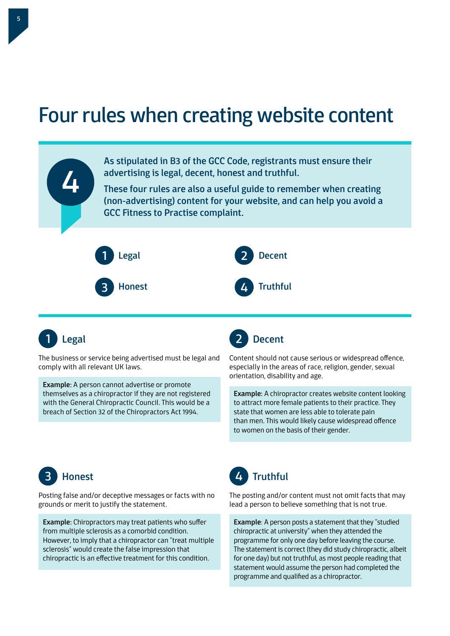### Four rules when creating website content





The business or service being advertised must be legal and comply with all relevant UK laws.

Example: A person cannot advertise or promote themselves as a chiropractor if they are not registered with the General Chiropractic Council. This would be a breach of Section 32 of the Chiropractors Act 1994.



Content should not cause serious or widespread offence, especially in the areas of race, religion, gender, sexual orientation, disability and age.

Example: A chiropractor creates website content looking to attract more female patients to their practice. They state that women are less able to tolerate pain than men. This would likely cause widespread offence to women on the basis of their gender.



Posting false and/or deceptive messages or facts with no grounds or merit to justify the statement.

Example: Chiropractors may treat patients who suffer from multiple sclerosis as a comorbid condition. However, to imply that a chiropractor can "treat multiple sclerosis" would create the false impression that chiropractic is an effective treatment for this condition.



The posting and/or content must not omit facts that may lead a person to believe something that is not true.

Example: A person posts a statement that they "studied chiropractic at university" when they attended the programme for only one day before leaving the course. The statement is correct (they did study chiropractic, albeit for one day) but not truthful, as most people reading that statement would assume the person had completed the programme and qualified as a chiropractor.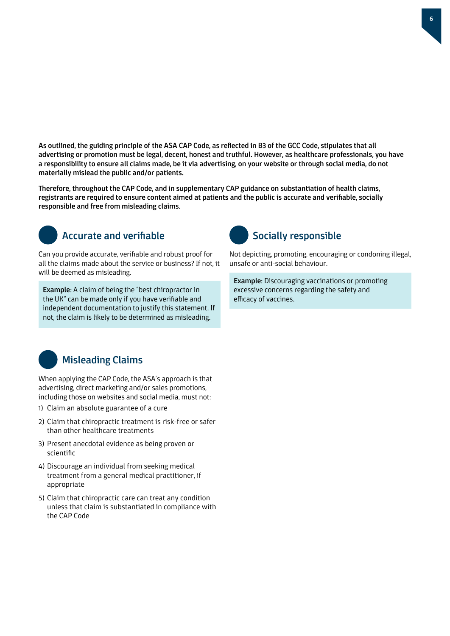As outlined, the guiding principle of the ASA CAP Code, as reflected in B3 of the GCC Code, stipulates that all advertising or promotion must be legal, decent, honest and truthful. However, as healthcare professionals, you have a responsibility to ensure all claims made, be it via advertising, on your website or through social media, do not materially mislead the public and/or patients.

Therefore, throughout the CAP Code, and in supplementary CAP guidance on substantiation of health claims, registrants are required to ensure content aimed at patients and the public is accurate and verifiable, socially responsible and free from misleading claims.



### Accurate and verifiable

Can you provide accurate, verifiable and robust proof for all the claims made about the service or business? If not, it will be deemed as misleading.

Example: A claim of being the "best chiropractor in the UK" can be made only if you have verifiable and independent documentation to justify this statement. If not, the claim is likely to be determined as misleading.



Not depicting, promoting, encouraging or condoning illegal, unsafe or anti-social behaviour.

Example: Discouraging vaccinations or promoting excessive concerns regarding the safety and efficacy of vaccines.



### Misleading Claims

When applying the CAP Code, the ASA's approach is that advertising, direct marketing and/or sales promotions, including those on websites and social media, must not:

- 1) Claim an absolute guarantee of a cure
- 2) Claim that chiropractic treatment is risk-free or safer than other healthcare treatments
- 3) Present anecdotal evidence as being proven or scientific
- 4) Discourage an individual from seeking medical treatment from a general medical practitioner, if appropriate
- 5) Claim that chiropractic care can treat any condition unless that claim is substantiated in compliance with the CAP Code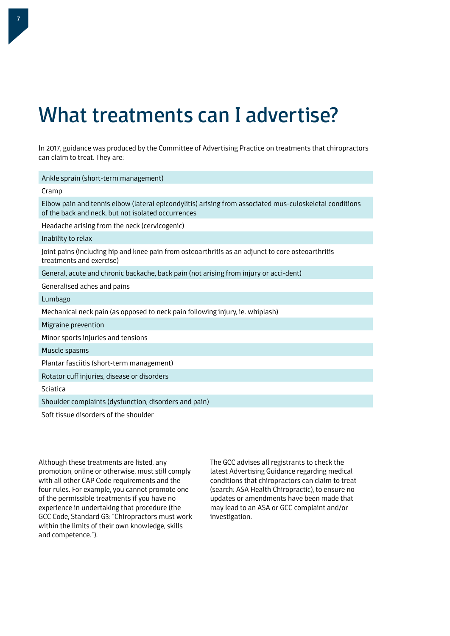## What treatments can I advertise?

In 2017, guidance was produced by the Committee of Advertising Practice on treatments that chiropractors can claim to treat. They are:

| Ankle sprain (short-term management)                                                                                                                          |
|---------------------------------------------------------------------------------------------------------------------------------------------------------------|
| Cramp                                                                                                                                                         |
| Elbow pain and tennis elbow (lateral epicondylitis) arising from associated mus-culoskeletal conditions<br>of the back and neck, but not isolated occurrences |
| Headache arising from the neck (cervicogenic)                                                                                                                 |
| Inability to relax                                                                                                                                            |
| Joint pains (including hip and knee pain from osteoarthritis as an adjunct to core osteoarthritis<br>treatments and exercise)                                 |
| General, acute and chronic backache, back pain (not arising from injury or acci-dent)                                                                         |
| Generalised aches and pains                                                                                                                                   |
| Lumbago                                                                                                                                                       |
| Mechanical neck pain (as opposed to neck pain following injury, ie. whiplash)                                                                                 |
| Migraine prevention                                                                                                                                           |
| Minor sports injuries and tensions                                                                                                                            |
| Muscle spasms                                                                                                                                                 |
| Plantar fasciitis (short-term management)                                                                                                                     |
| Rotator cuff injuries, disease or disorders                                                                                                                   |
| Sciatica                                                                                                                                                      |
| Shoulder complaints (dysfunction, disorders and pain)                                                                                                         |
| Soft tissue disorders of the shoulder                                                                                                                         |

Although these treatments are listed, any promotion, online or otherwise, must still comply with all other CAP Code requirements and the four rules. For example, you cannot promote one of the permissible treatments if you have no experience in undertaking that procedure (the GCC Code, Standard G3: "Chiropractors must work within the limits of their own knowledge, skills and competence.").

The GCC advises all registrants to check the latest Advertising Guidance regarding medical conditions that chiropractors can claim to treat (search: ASA Health Chiropractic), to ensure no updates or amendments have been made that may lead to an ASA or GCC complaint and/or investigation.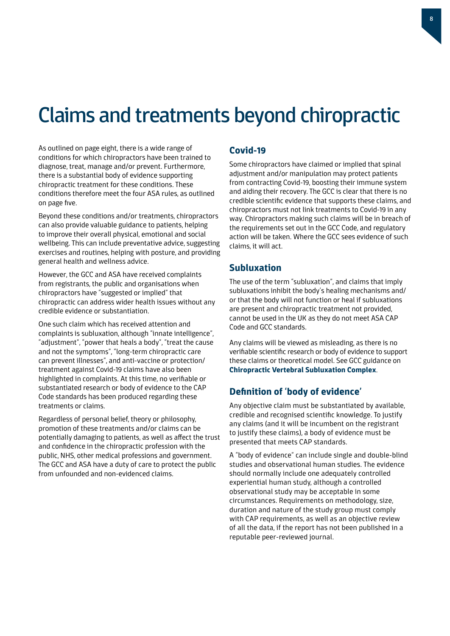### Claims and treatments beyond chiropractic

As outlined on page eight, there is a wide range of conditions for which chiropractors have been trained to diagnose, treat, manage and/or prevent. Furthermore, there is a substantial body of evidence supporting chiropractic treatment for these conditions. These conditions therefore meet the four ASA rules, as outlined on page five.

Beyond these conditions and/or treatments, chiropractors can also provide valuable guidance to patients, helping to improve their overall physical, emotional and social wellbeing. This can include preventative advice, suggesting exercises and routines, helping with posture, and providing general health and wellness advice.

However, the GCC and ASA have received complaints from registrants, the public and organisations when chiropractors have "suggested or implied" that chiropractic can address wider health issues without any credible evidence or substantiation.

One such claim which has received attention and complaints is subluxation, although "innate intelligence", "adjustment", "power that heals a body", "treat the cause and not the symptoms", "long-term chiropractic care can prevent illnesses", and anti-vaccine or protection/ treatment against Covid-19 claims have also been highlighted in complaints. At this time, no verifiable or substantiated research or body of evidence to the CAP Code standards has been produced regarding these treatments or claims.

Regardless of personal belief, theory or philosophy, promotion of these treatments and/or claims can be potentially damaging to patients, as well as affect the trust and confidence in the chiropractic profession with the public, NHS, other medical professions and government. The GCC and ASA have a duty of care to protect the public from unfounded and non-evidenced claims.

### **Covid-19**

Some chiropractors have claimed or implied that spinal adjustment and/or manipulation may protect patients from contracting Covid-19, boosting their immune system and aiding their recovery. The GCC is clear that there is no credible scientific evidence that supports these claims, and chiropractors must not link treatments to Covid-19 in any way. Chiropractors making such claims will be in breach of the requirements set out in the GCC Code, and regulatory action will be taken. Where the GCC sees evidence of such claims, it will act.

#### **Subluxation**

The use of the term "subluxation", and claims that imply subluxations inhibit the body's healing mechanisms and/ or that the body will not function or heal if subluxations are present and chiropractic treatment not provided, cannot be used in the UK as they do not meet ASA CAP Code and GCC standards.

Any claims will be viewed as misleading, as there is no verifiable scientific research or body of evidence to support these claims or theoretical model. See GCC guidance on **[Chiropractic Vertebral Subluxation Complex](http://www.gcc-uk.org/guidance-subluxation)**.

### **Definition of 'body of evidence'**

Any objective claim must be substantiated by available, credible and recognised scientific knowledge. To justify any claims (and it will be incumbent on the registrant to justify these claims), a body of evidence must be presented that meets CAP standards.

A "body of evidence" can include single and double-blind studies and observational human studies. The evidence should normally include one adequately controlled experiential human study, although a controlled observational study may be acceptable in some circumstances. Requirements on methodology, size, duration and nature of the study group must comply with CAP requirements, as well as an objective review of all the data, if the report has not been published in a reputable peer-reviewed journal.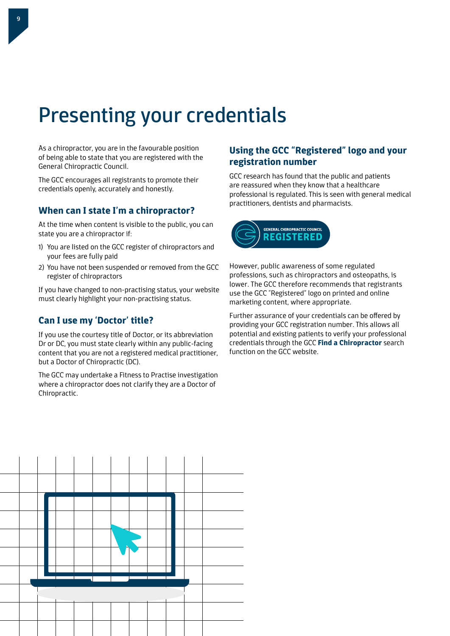# Presenting your credentials

As a chiropractor, you are in the favourable position of being able to state that you are registered with the General Chiropractic Council.

The GCC encourages all registrants to promote their credentials openly, accurately and honestly.

### **When can I state I'm a chiropractor?**

At the time when content is visible to the public, you can state you are a chiropractor if:

- 1) You are listed on the GCC register of chiropractors and your fees are fully paid
- 2) You have not been suspended or removed from the GCC register of chiropractors

If you have changed to non-practising status, your website must clearly highlight your non-practising status.

### **Can I use my 'Doctor' title?**

If you use the courtesy title of Doctor, or its abbreviation Dr or DC, you must state clearly within any public-facing content that you are not a registered medical practitioner, but a Doctor of Chiropractic (DC).

The GCC may undertake a Fitness to Practise investigation where a chiropractor does not clarify they are a Doctor of Chiropractic.

### **Using the GCC "Registered" logo and your registration number**

GCC research has found that the public and patients are reassured when they know that a healthcare professional is regulated. This is seen with general medical practitioners, dentists and pharmacists.



However, public awareness of some regulated professions, such as chiropractors and osteopaths, is lower. The GCC therefore recommends that registrants use the GCC "Registered" logo on printed and online marketing content, where appropriate.

Further assurance of your credentials can be offered by providing your GCC registration number. This allows all potential and existing patients to verify your professional credentials through the GCC **[Find a Chiropractor](http://www.gcc-uk.org/find-a-chiropractor)** search function on the GCC website.

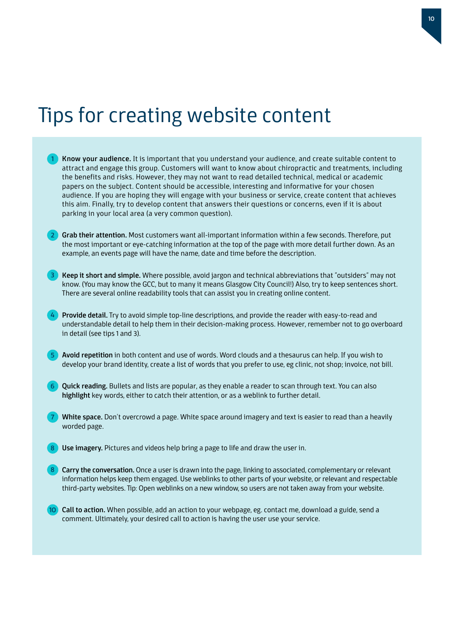### Tips for creating website content